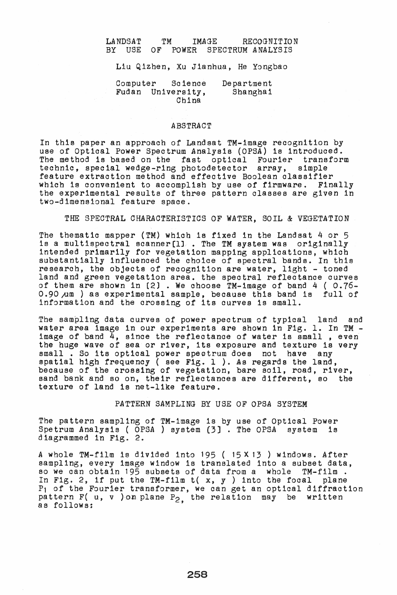# LANDSAT TM IMAGE RECOGNITION<br>BY USE OF POWER SPECTRUM\_ANALYSIS POWER SPECTRUM ANALYSIS

Liu Qizhen, Xu Jlanhua, He Yongbao

Computer Science Fudan University, China Department Shanghai

# ABSTRACT

In this paper an approach of Landsat TM-image recognition by an only press on upproach of Education analysis (OPSA) is introduced. The method is based on the fast optical Fourier transform<br>technic, special wedge-ring photodetector array, simple technic, special wedge-ring photodetector array, feature extraction method and effective Boolean classifier<br>which is convenient to accomplish by use of firmware. Finally the experimental results of three pattern classes are given in two-dimensional feature space.

THE SPECTRAL CHARACTERISTICS OF WATER. SOIL & VEGETATION

The thematic mapper (TM) which is fixed in the Landsat 4 or 5 is a multispectral scanner[1]. The TM system was originally intended primarily for vegetation mapping applications, which substantially influenced the choice of spectral bands. In this research, the objects of recognition are water, light - toned land and green vegetation area. the spectral reflectance curves of them are shown in (2) . We ohoose TM-image of band 4 ( 0.76-  $0.90~\mu$ m ) as experimental sample, because this band is full of information and the orossing of its curves is small.

The sampling data curves of power spectrum of typical land and water area image in our experiments are shown in Fig. 1. In TM water area image in our experiments are shown in Fig. 1. In TM - image of band 4, since the refleotanoe of water is small , even the huge of band  $\rightarrow$ , since the reflectance of water is small, even small . So its optical power spectrum does not have any spatial high frequency ( see Fig. 1 ). As regards the land, because of the crossing of vegetation, bare soil, road, river, sand bank and so on, their reflectanoes are different, so the texture of land 1s net-like feature.

PATTERN SAMPLING BY USE OF OPSA SYSTEM

The pattern sampling of TM-image is by use of Optical Power Spetrum Analysis ( OPSA ) system [3]. The OPSA system is diagrammed in Fig. 2.

A Whole TM-film is divided into 195 ( 15X 13 ) windows. After sampling, every image window is translated into a subset data, so we can obtain 195 subsets of data from a whole TM-film. In Fig. 2, if put the TM-film  $t(x, y)$  into the focal plane Pl of the Fourier transformer, we can get an optical diffraction pattern  $F(u, v)$  on plane  $P_2$ , the relation may be written as follows: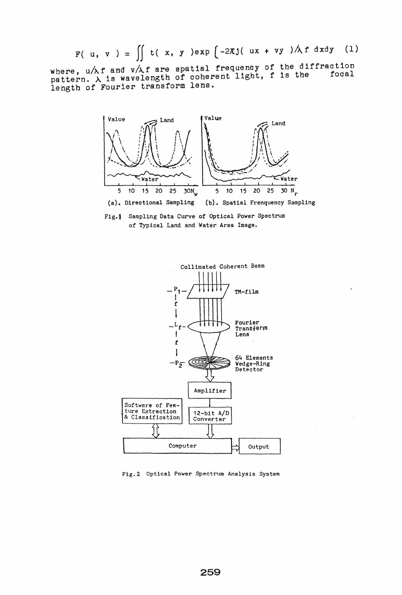F( u, v ) =  $\iint t(x, y) dx p \left(-2\pi j(ux + vy) / \lambda f dx dy \right)$  (1)

where,  $u/\lambda f$  and  $v/\lambda f$  are spatial frequency of the diffraction where,  $u/\lambda$  and  $v/\lambda$  are spacial is equivalent. It is the focal length of Fourier transform lens.







Fig.2 Optical Power Spectrum Analysis System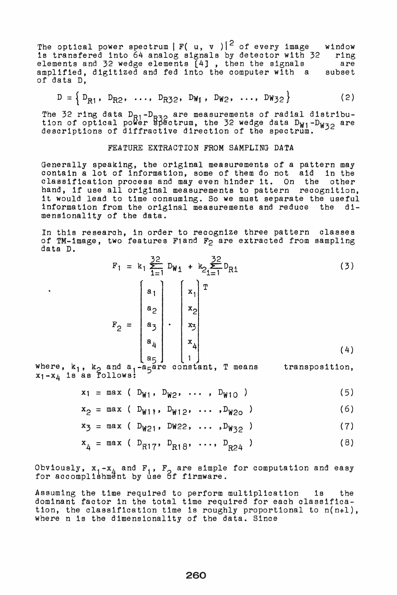The optical power spectrum  $|F( u, v)|^2$  of every image is transfered into 64 analog signals by detector with 32 elements and 32 wedge elements (4J , then the signals amplified, digitized and fed into the computer with a of data D, window ring are subset

$$
D = \left\{ D_{R1}, D_{R2}, \ldots, D_{R32}, D_{W1}, D_{W2}, \ldots, D_{W32} \right\}
$$
 (2)

The 32 ring data D<sub>R1</sub>-D<sub>R32</sub> are measurements of radial distribu-<br>tior of entical power R32strum, the 32 vodes data D<sub>1</sub> D<sub>1</sub> are tion of optical power  $\frac{1}{2}$  bectrum, the 32 wedge data  $D_{W1}-D_{W32}$  are descriptions of diffractive direction of the spectrum.

## FEATURE EXTRACTION FROM SAMPLING DATA

Generally speaking, the original measurements of a pattern may contain a lot of information, some of them do not aid in the classification process and may even hinder it. On the other biassilication process and may even ninger it. On the other it would lead to time consuming. So we must separate the useful information from the original measurements and reduce the dimensionality of the data.

In this research, in order to recognize three pattern classes of TM-image, two features Fland F<sub>2</sub> are extracted from sampling data D.

$$
F_1 = k_1 \sum_{i=1}^{32} D_{W_1} + k_2 \sum_{i=1}^{32} D_{R1}
$$
\n
$$
F_2 = \begin{bmatrix} a_1 \\ a_2 \\ a_3 \\ a_4 \\ a_5 \end{bmatrix} \cdot \begin{bmatrix} x_1 \\ x_2 \\ x_3 \\ x_4 \\ x_4 \\ 1 \end{bmatrix} (3)
$$
\n(3)

where,  $k_1$ ,  $k_2$  and  $a_1-a_5$ are constant, T means transposition,  $x_1-x_4$  is as follows:

 $x_1 = \max$  (  $D_{W1}$ ,  $D_{W2}$ , ...,  $D_{W10}$  ) (5)

$$
x_2 = \max (D_{W11}, D_{W12}, \ldots, D_{W20})
$$
 (6)

$$
x_3 = \max (D_{W21}, D_{W22}, \ldots, D_{W32})
$$
 (7)

$$
x_4 = \max (\ D_{R17}, D_{R18}, \ldots, D_{R24})
$$
 (8)

Obviously,  $\mathbf{x}_1 - \mathbf{x}_L$  and  $\mathbf{F}_1$ ,  $\mathbf{F}_2$  are simple for computation and easy for accomplishment by use of firmware.

Assuming the time required to perform multiplication is the dominant factor in the total time required for each classification, the classification time is roughly proportional to n(n+l), where n is the dimensionality of the data. Since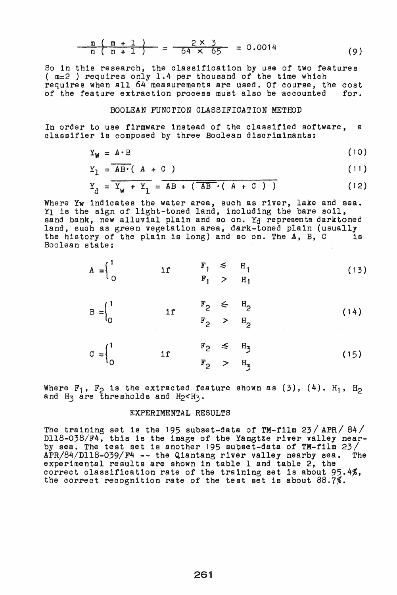$$
\frac{m (m + 1)}{n (n + 1)} = \frac{2 \times 3}{64 \times 65} = 0.0014
$$
 (9)

So in this research, the classifioation by use of two features ( m=2 ) requires only 1.4 per thousand of the time whioh requires when all 64 measurements are used. Of course, the cost of the feature extraction process must also be accounted for. of the feature extraction process must also be accounted

### BOOLEAN FUNCTION CLASSIFICATION METHOD

In order to use firmware instead of the classified software, a classifier is oomposed by three Boolean discriminants:

$$
Y_{W} = A \cdot B \tag{10}
$$

$$
Y_1 = \overline{AB \cdot (A + C)}
$$
 (11)

$$
Y_d = \overline{Y_w + Y_1} = \overline{AB + (\overline{AB} \cdot (A + C))}
$$
 (12)

Where Yw indicates the water area, such as river, lake and sea. Y<sub>1</sub> is the sign of light-toned land, including the bare soil, sand bank, new alluvial plain and so on.  $Y<sub>d</sub>$  represents darktoned land, such as green vegetation area, dark-toned plain (usually the history of the plain is long) and so on. The A. B. C is the history of the plain is long) and so on. The  $A$ ,  $B$ ,  $C$ Boolean state:

$$
A = \begin{cases} 1 & \text{if } F_1 \leq H_1 \\ 0 & \text{if } F_1 > H_1 \end{cases}
$$
(13)  

$$
B = \begin{cases} 1 & \text{if } F_2 \leq H_2 \\ 0 & \text{if } F_2 > H_2 \end{cases}
$$
(14)  

$$
C = \begin{cases} 1 & \text{if } F_2 \leq H_3 \\ 0 & \text{if } F_2 > H_1 \end{cases}
$$
(15)

 $F_2$  >  $H_3$ 

Where  $F_1$ ,  $F_2$  is the extracted feature shown as (3), (4).  $H_1$ ,  $H_2$ and  $H_3$  are thresholds and  $H_2 < H_3$ .

## EXPERIMENTAL RESULTS

The training set is the 195 subset-data of TM-film 23/ APR/ 84/ Dl18-038/F4, this is the image of the Yangtze river valley nearby sea. The test set is another 195 subset-data of TM-film  $23/$ APR/84/Dl18-039/F4 -- the Qiantang river valley nearby sea. The experimental results are shown in table 1 and table 2, the correct classification rate of the training set is about 95.4%, the correct recognition rate of the test set 1s about 88.7%.